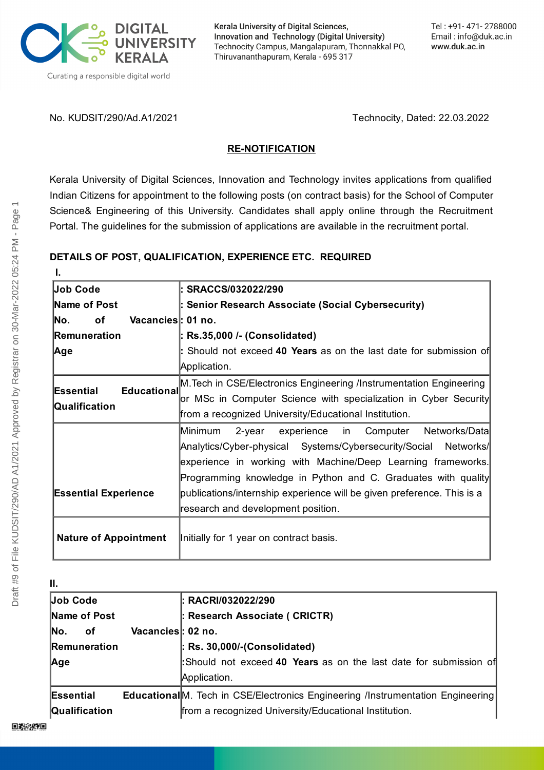

Kerala University of Digital Sciences, Innovation and Technology (Digital University) Technocity Campus, Mangalapuram, Thonnakkal PO, Thiruvananthapuram, Kerala - 695 317

No. KUDSIT/290/Ad.A1/2021 Technocity, Dated: 22.03.2022

## **RE-NOTIFICATION**

Kerala University of Digital Sciences, Innovation and Technology invites applications from qualified Indian Citizens for appointment to the following posts (on contract basis) for the School of Computer Science& Engineering of this University. Candidates shall apply online through the Recruitment Portal. The guidelines for the submission of applications are available in the recruitment portal.

# **DETAILS OF POST, QUALIFICATION, EXPERIENCE ETC. REQUIRED**

| I.                             |                                                                        |  |  |  |  |  |  |
|--------------------------------|------------------------------------------------------------------------|--|--|--|--|--|--|
| Job Code                       | : SRACCS/032022/290                                                    |  |  |  |  |  |  |
| Name of Post                   | : Senior Research Associate (Social Cybersecurity)                     |  |  |  |  |  |  |
| Vacancies: 01 no.<br>No.<br>οf |                                                                        |  |  |  |  |  |  |
| Remuneration                   | : Rs.35,000 /- (Consolidated)                                          |  |  |  |  |  |  |
| Age                            | : Should not exceed 40 Years as on the last date for submission of     |  |  |  |  |  |  |
|                                | Application.                                                           |  |  |  |  |  |  |
|                                | M. Tech in CSE/Electronics Engineering /Instrumentation Engineering    |  |  |  |  |  |  |
| Educational<br>Essential       | or MSc in Computer Science with specialization in Cyber Security       |  |  |  |  |  |  |
| Qualification                  | from a recognized University/Educational Institution.                  |  |  |  |  |  |  |
|                                | Minimum<br>2-year experience in Computer Networks/Data                 |  |  |  |  |  |  |
|                                | Analytics/Cyber-physical Systems/Cybersecurity/Social Networks/        |  |  |  |  |  |  |
|                                | experience in working with Machine/Deep Learning frameworks.           |  |  |  |  |  |  |
|                                | Programming knowledge in Python and C. Graduates with quality          |  |  |  |  |  |  |
| <b>Essential Experience</b>    | publications/internship experience will be given preference. This is a |  |  |  |  |  |  |
|                                | research and development position.                                     |  |  |  |  |  |  |
| <b>Nature of Appointment</b>   | Initially for 1 year on contract basis.                                |  |  |  |  |  |  |
|                                |                                                                        |  |  |  |  |  |  |

| П.            |                   |                                                                                        |  |  |  |  |
|---------------|-------------------|----------------------------------------------------------------------------------------|--|--|--|--|
| Job Code      |                   | : RACRI/032022/290                                                                     |  |  |  |  |
| Name of Post  |                   | : Research Associate ( CRICTR)                                                         |  |  |  |  |
| No.<br>оf     | Vacancies: 02 no. |                                                                                        |  |  |  |  |
| Remuneration  |                   | $\vert$ : Rs. 30,000/-(Consolidated)                                                   |  |  |  |  |
| Age           |                   | Should not exceed 40 Years as on the last date for submission of                       |  |  |  |  |
|               |                   | Application.                                                                           |  |  |  |  |
| Essential     |                   | <b>Educational</b> M. Tech in CSE/Electronics Engineering /Instrumentation Engineering |  |  |  |  |
| Qualification |                   | from a recognized University/Educational Institution.                                  |  |  |  |  |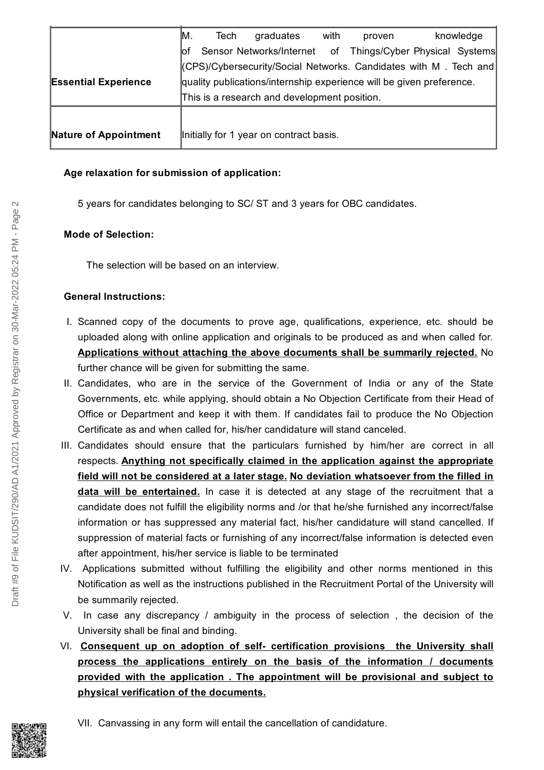|                             | MM.                                                                  | Tech | graduates                               | with | proven | knowledge                                                 |  |
|-----------------------------|----------------------------------------------------------------------|------|-----------------------------------------|------|--------|-----------------------------------------------------------|--|
|                             | lO1                                                                  |      |                                         |      |        | Sensor Networks/Internet of Things/Cyber Physical Systems |  |
|                             | (CPS)/Cybersecurity/Social Networks. Candidates with M. Tech and     |      |                                         |      |        |                                                           |  |
| <b>Essential Experience</b> | quality publications/internship experience will be given preference. |      |                                         |      |        |                                                           |  |
|                             | This is a research and development position.                         |      |                                         |      |        |                                                           |  |
|                             |                                                                      |      |                                         |      |        |                                                           |  |
| Nature of Appointment       |                                                                      |      | Initially for 1 year on contract basis. |      |        |                                                           |  |

### **Age relaxation for submission of application:**

5 years for candidates belonging to SC/ ST and 3 years for OBC candidates.

#### **Mode of Selection:**

The selection will be based on an interview.

#### **General Instructions:**

- I. Scanned copy of the documents to prove age, qualifications, experience, etc. should be uploaded along with online application and originals to be produced as and when called for. **Applications without attaching the above documents shall be summarily rejected.** No further chance will be given for submitting the same.
- II. Candidates, who are in the service of the Government of India or any of the State Governments, etc. while applying, should obtain a No Objection Certificate from their Head of Office or Department and keep it with them. If candidates fail to produce the No Objection Certificate as and when called for, his/her candidature will stand canceled.
- III. Candidates should ensure that the particulars furnished by him/her are correct in all respects. **Anything not specifically claimed in the application against the appropriate field will not be considered at a later stage. No deviation whatsoever from the filled in data will be entertained.** In case it is detected at any stage of the recruitment that a candidate does not fulfill the eligibility norms and /or that he/she furnished any incorrect/false information or has suppressed any material fact, his/her candidature will stand cancelled. If suppression of material facts or furnishing of any incorrect/false information is detected even after appointment, his/her service is liable to be terminated
- IV. Applications submitted without fulfilling the eligibility and other norms mentioned in this Notification as well as the instructions published in the Recruitment Portal of the University will be summarily rejected.
- V. In case any discrepancy / ambiguity in the process of selection , the decision of the University shall be final and binding.
- VI. **Consequent up on adoption of self- certification provisions the University shall process the applications entirely on the basis of the information / documents provided with the application . The appointment will be provisional and subject to physical verification of the documents.**



VII. Canvassing in any form will entail the cancellation of candidature.